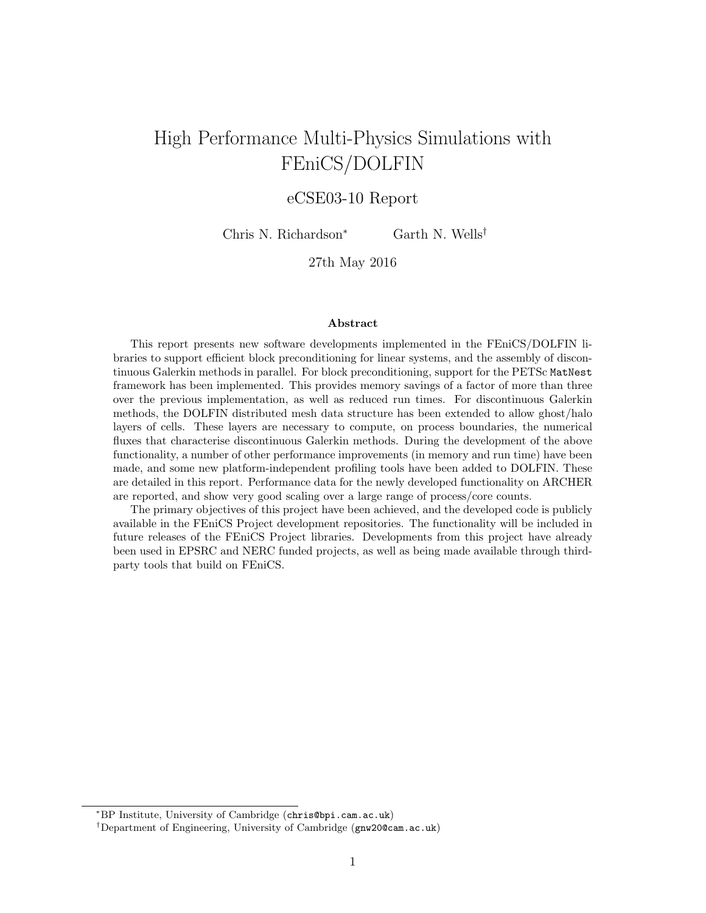# High Performance Multi-Physics Simulations with FEniCS/DOLFIN

# eCSE03-10 Report

Chris N. Richardson<sup>∗</sup> Garth N. Wells†

27th May 2016

#### Abstract

This report presents new software developments implemented in the FEniCS/DOLFIN libraries to support efficient block preconditioning for linear systems, and the assembly of discontinuous Galerkin methods in parallel. For block preconditioning, support for the PETSc MatNest framework has been implemented. This provides memory savings of a factor of more than three over the previous implementation, as well as reduced run times. For discontinuous Galerkin methods, the DOLFIN distributed mesh data structure has been extended to allow ghost/halo layers of cells. These layers are necessary to compute, on process boundaries, the numerical fluxes that characterise discontinuous Galerkin methods. During the development of the above functionality, a number of other performance improvements (in memory and run time) have been made, and some new platform-independent profiling tools have been added to DOLFIN. These are detailed in this report. Performance data for the newly developed functionality on ARCHER are reported, and show very good scaling over a large range of process/core counts.

The primary objectives of this project have been achieved, and the developed code is publicly available in the FEniCS Project development repositories. The functionality will be included in future releases of the FEniCS Project libraries. Developments from this project have already been used in EPSRC and NERC funded projects, as well as being made available through thirdparty tools that build on FEniCS.

<sup>∗</sup>BP Institute, University of Cambridge (chris@bpi.cam.ac.uk)

<sup>†</sup>Department of Engineering, University of Cambridge (gnw20@cam.ac.uk)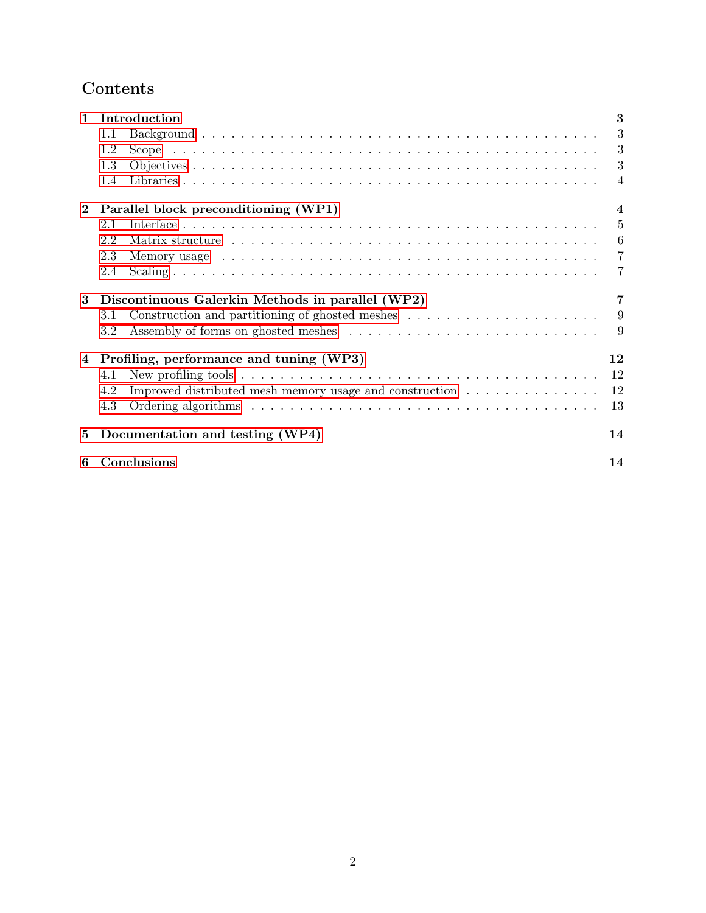# Contents

| $\mathbf{1}$ | Introduction                                                                                                                                                                                                                         | 3                       |
|--------------|--------------------------------------------------------------------------------------------------------------------------------------------------------------------------------------------------------------------------------------|-------------------------|
|              | 1.1                                                                                                                                                                                                                                  | 3                       |
|              | 1.2                                                                                                                                                                                                                                  | 3                       |
|              | 1.3                                                                                                                                                                                                                                  | 3                       |
|              | 1.4                                                                                                                                                                                                                                  | $\overline{4}$          |
| $\bf{2}$     | Parallel block preconditioning (WP1)                                                                                                                                                                                                 | $\overline{\mathbf{4}}$ |
|              | 2.1                                                                                                                                                                                                                                  | 5                       |
|              | 2.2                                                                                                                                                                                                                                  | 6                       |
|              | Memory usage subsequent to the set of the set of the set of the set of the set of the set of the set of the set of the set of the set of the set of the set of the set of the set of the set of the set of the set of the set<br>2.3 | $\overline{7}$          |
|              | 2.4                                                                                                                                                                                                                                  | 7                       |
| 3            | Discontinuous Galerkin Methods in parallel (WP2)                                                                                                                                                                                     | 7                       |
|              | 3.1                                                                                                                                                                                                                                  | 9                       |
|              | 3.2                                                                                                                                                                                                                                  | 9                       |
| 4            | Profiling, performance and tuning (WP3)                                                                                                                                                                                              | 12                      |
|              | New profiling tools $\dots \dots \dots \dots \dots \dots \dots \dots \dots \dots \dots \dots \dots \dots \dots \dots$<br>4.1                                                                                                         | 12                      |
|              | Improved distributed mesh memory usage and construction<br>4.2                                                                                                                                                                       | 12                      |
|              | 4.3                                                                                                                                                                                                                                  | 13                      |
| 5            | Documentation and testing (WP4)                                                                                                                                                                                                      | 14                      |
| 6            | Conclusions                                                                                                                                                                                                                          | 14                      |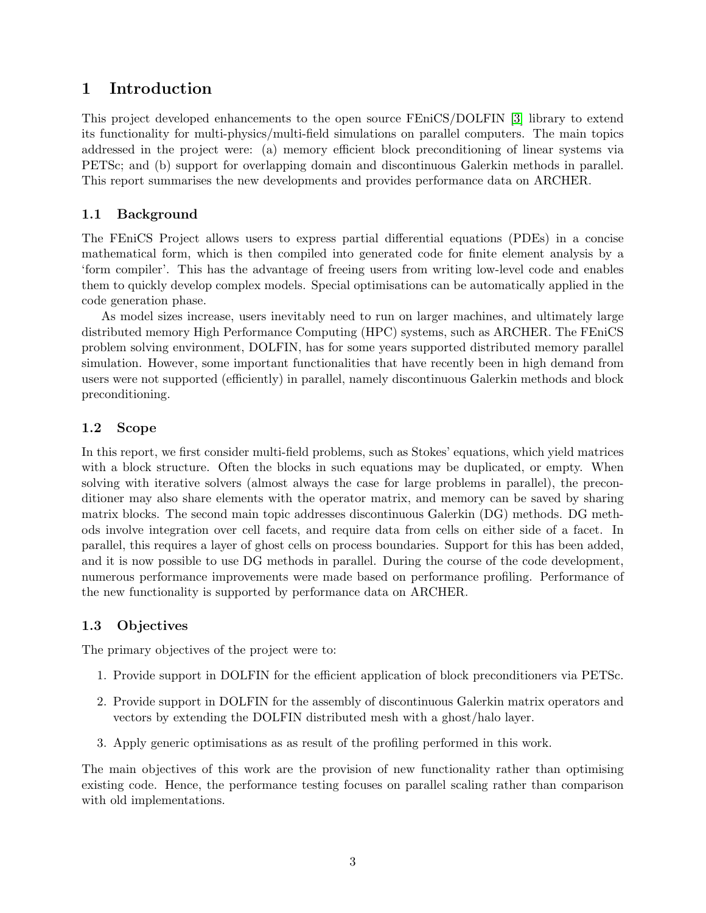# 1 Introduction

This project developed enhancements to the open source FEniCS/DOLFIN [3] library to extend its functionality for multi-physics/multi-field simulations on parallel computers. The main topics addressed in the project were: (a) memory efficient block preconditioning of linear systems via PETSc; and (b) support for overlapping domain and discontinuous Galerkin methods in parallel. This report summarises the new developments and provides performance data on ARCHER.

### 1.1 Background

The FEniCS Project allows users to express partial differential equations (PDEs) in a concise mathematical form, which is then compiled into generated code for finite element analysis by a 'form compiler'. This has the advantage of freeing users from writing low-level code and enables them to quickly develop complex models. Special optimisations can be automatically applied in the code generation phase.

As model sizes increase, users inevitably need to run on larger machines, and ultimately large distributed memory High Performance Computing (HPC) systems, such as ARCHER. The FEniCS problem solving environment, DOLFIN, has for some years supported distributed memory parallel simulation. However, some important functionalities that have recently been in high demand from users were not supported (efficiently) in parallel, namely discontinuous Galerkin methods and block preconditioning.

### 1.2 Scope

In this report, we first consider multi-field problems, such as Stokes' equations, which yield matrices with a block structure. Often the blocks in such equations may be duplicated, or empty. When solving with iterative solvers (almost always the case for large problems in parallel), the preconditioner may also share elements with the operator matrix, and memory can be saved by sharing matrix blocks. The second main topic addresses discontinuous Galerkin (DG) methods. DG methods involve integration over cell facets, and require data from cells on either side of a facet. In parallel, this requires a layer of ghost cells on process boundaries. Support for this has been added, and it is now possible to use DG methods in parallel. During the course of the code development, numerous performance improvements were made based on performance profiling. Performance of the new functionality is supported by performance data on ARCHER.

### 1.3 Objectives

The primary objectives of the project were to:

- 1. Provide support in DOLFIN for the efficient application of block preconditioners via PETSc.
- 2. Provide support in DOLFIN for the assembly of discontinuous Galerkin matrix operators and vectors by extending the DOLFIN distributed mesh with a ghost/halo layer.
- 3. Apply generic optimisations as as result of the profiling performed in this work.

The main objectives of this work are the provision of new functionality rather than optimising existing code. Hence, the performance testing focuses on parallel scaling rather than comparison with old implementations.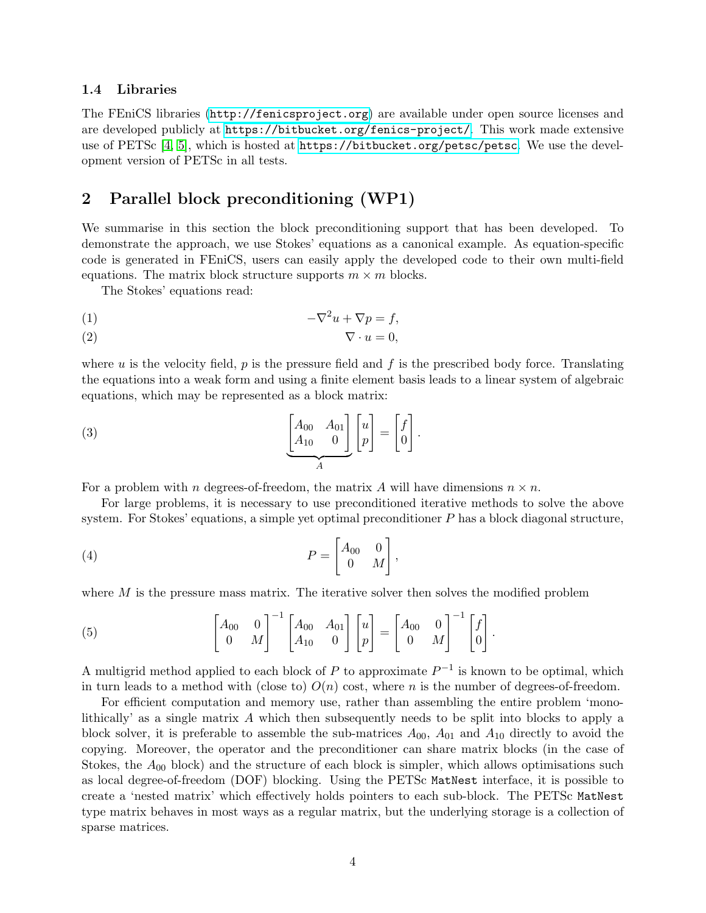#### 1.4 Libraries

The FEniCS libraries (<http://fenicsproject.org>) are available under open source licenses and are developed publicly at <https://bitbucket.org/fenics-project/>. This work made extensive use of PETSc [4, 5], which is hosted at <https://bitbucket.org/petsc/petsc>. We use the development version of PETSc in all tests.

### 2 Parallel block preconditioning (WP1)

We summarise in this section the block preconditioning support that has been developed. To demonstrate the approach, we use Stokes' equations as a canonical example. As equation-specific code is generated in FEniCS, users can easily apply the developed code to their own multi-field equations. The matrix block structure supports  $m \times m$  blocks.

The Stokes' equations read:

$$
-\nabla^2 u + \nabla p = f,
$$

$$
\nabla \cdot u = 0,
$$

where u is the velocity field, p is the pressure field and f is the prescribed body force. Translating the equations into a weak form and using a finite element basis leads to a linear system of algebraic equations, which may be represented as a block matrix:

(3) 
$$
\underbrace{\begin{bmatrix} A_{00} & A_{01} \\ A_{10} & 0 \end{bmatrix}}_{A} \begin{bmatrix} u \\ p \end{bmatrix} = \begin{bmatrix} f \\ 0 \end{bmatrix}.
$$

For a problem with n degrees-of-freedom, the matrix A will have dimensions  $n \times n$ .

For large problems, it is necessary to use preconditioned iterative methods to solve the above system. For Stokes' equations, a simple yet optimal preconditioner  $P$  has a block diagonal structure,

$$
(4) \t\t P = \begin{bmatrix} A_{00} & 0 \\ 0 & M \end{bmatrix},
$$

where  $M$  is the pressure mass matrix. The iterative solver then solves the modified problem

(5) 
$$
\begin{bmatrix} A_{00} & 0 \ 0 & M \end{bmatrix}^{-1} \begin{bmatrix} A_{00} & A_{01} \ A_{10} & 0 \end{bmatrix} \begin{bmatrix} u \ p \end{bmatrix} = \begin{bmatrix} A_{00} & 0 \ 0 & M \end{bmatrix}^{-1} \begin{bmatrix} f \ 0 \end{bmatrix}.
$$

A multigrid method applied to each block of P to approximate  $P^{-1}$  is known to be optimal, which in turn leads to a method with (close to)  $O(n)$  cost, where n is the number of degrees-of-freedom.

For efficient computation and memory use, rather than assembling the entire problem 'monolithically' as a single matrix A which then subsequently needs to be split into blocks to apply a block solver, it is preferable to assemble the sub-matrices  $A_{00}$ ,  $A_{01}$  and  $A_{10}$  directly to avoid the copying. Moreover, the operator and the preconditioner can share matrix blocks (in the case of Stokes, the  $A_{00}$  block) and the structure of each block is simpler, which allows optimisations such as local degree-of-freedom (DOF) blocking. Using the PETSc MatNest interface, it is possible to create a 'nested matrix' which effectively holds pointers to each sub-block. The PETSc MatNest type matrix behaves in most ways as a regular matrix, but the underlying storage is a collection of sparse matrices.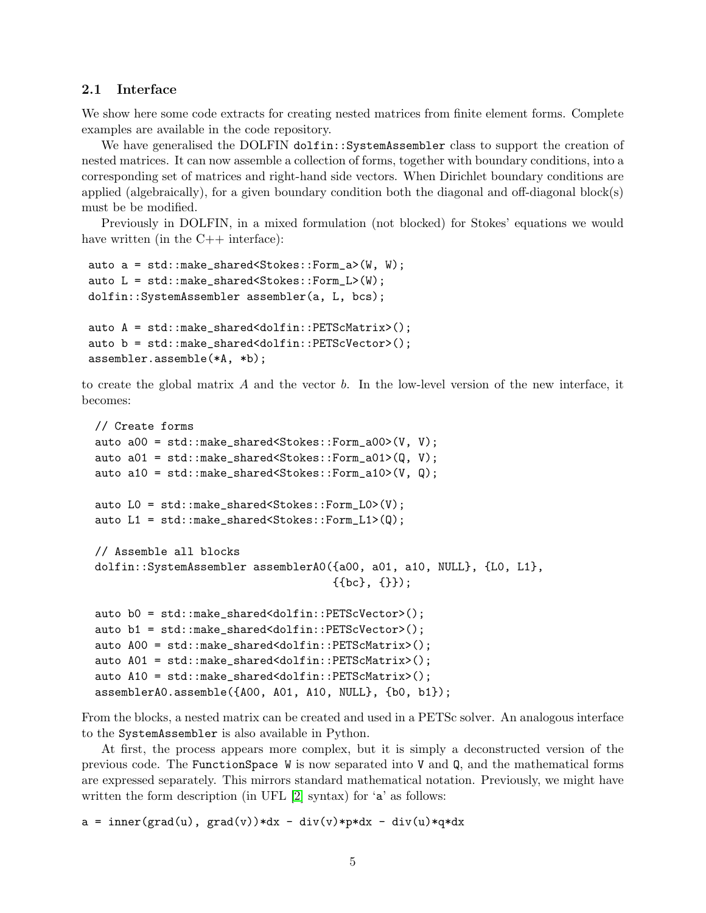#### 2.1 Interface

We show here some code extracts for creating nested matrices from finite element forms. Complete examples are available in the code repository.

We have generalised the DOLFIN dolfin::SystemAssembler class to support the creation of nested matrices. It can now assemble a collection of forms, together with boundary conditions, into a corresponding set of matrices and right-hand side vectors. When Dirichlet boundary conditions are applied (algebraically), for a given boundary condition both the diagonal and off-diagonal block(s) must be be modified.

Previously in DOLFIN, in a mixed formulation (not blocked) for Stokes' equations we would have written (in the  $C++$  interface):

```
auto a = std::make_shared<Stokes::Form_a>(W, W);
auto L = std::make_shared<Stokes::Form_L>(W);
dolfin::SystemAssembler assembler(a, L, bcs);
auto A = std::make_shared<dolfin::PETScMatrix>();
auto b = std::make_shared<dolfin::PETScVector>();
assembler.assemble(*A, *b);
```
to create the global matrix  $A$  and the vector  $b$ . In the low-level version of the new interface, it becomes:

```
// Create forms
auto a00 = std::make_shared<Stokes::Form_a00>(V, V);
auto a01 = std::make_shared<Stokes::Form_a01>(Q, V);
auto a10 = std::make_shared<Stokes::Form_a10>(V, Q);
auto L0 = std::make_shared<Stokes::Form_L0>(V);
auto L1 = std::make_shared<Stokes::Form_L1>(Q);
// Assemble all blocks
dolfin::SystemAssembler assemblerA0({a00, a01, a10, NULL}, {L0, L1},
                                    {{bc}, {}});
auto b0 = std::make_shared<dolfin::PETScVector>();
auto b1 = std::make_shared<dolfin::PETScVector>();
auto A00 = std::make_shared<dolfin::PETScMatrix>();
auto A01 = std::make_shared<dolfin::PETScMatrix>();
auto A10 = std::make_shared<dolfin::PETScMatrix>();
assemblerA0.assemble({A00, A01, A10, NULL}, {b0, b1});
```
From the blocks, a nested matrix can be created and used in a PETSc solver. An analogous interface to the SystemAssembler is also available in Python.

At first, the process appears more complex, but it is simply a deconstructed version of the previous code. The FunctionSpace W is now separated into V and Q, and the mathematical forms are expressed separately. This mirrors standard mathematical notation. Previously, we might have written the form description (in UFL [2] syntax) for 'a' as follows:

 $a = inner(grad(u), grad(v)) * dx - div(v) * p * dx - div(u) * q * dx$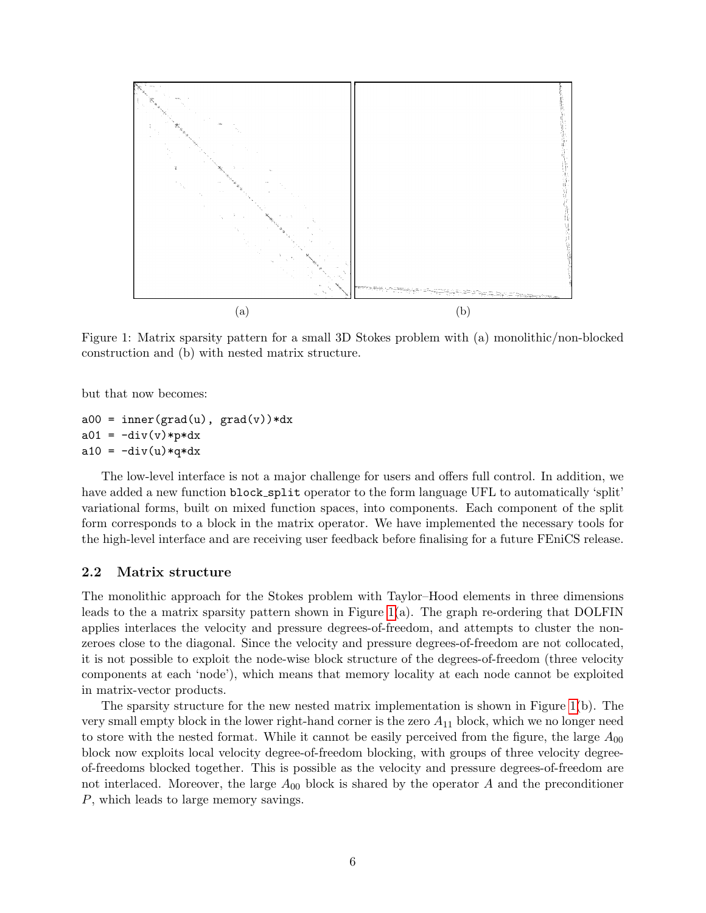

Figure 1: Matrix sparsity pattern for a small 3D Stokes problem with (a) monolithic/non-blocked construction and (b) with nested matrix structure.

but that now becomes:

```
a00 = inner(grad(u), grad(v)) * dxa01 = -div(v) *p * dxa10 = -div(u)*q*dx
```
The low-level interface is not a major challenge for users and offers full control. In addition, we have added a new function block split operator to the form language UFL to automatically 'split' variational forms, built on mixed function spaces, into components. Each component of the split form corresponds to a block in the matrix operator. We have implemented the necessary tools for the high-level interface and are receiving user feedback before finalising for a future FEniCS release.

#### 2.2 Matrix structure

The monolithic approach for the Stokes problem with Taylor–Hood elements in three dimensions leads to the a matrix sparsity pattern shown in Figure 1(a). The graph re-ordering that DOLFIN applies interlaces the velocity and pressure degrees-of-freedom, and attempts to cluster the nonzeroes close to the diagonal. Since the velocity and pressure degrees-of-freedom are not collocated, it is not possible to exploit the node-wise block structure of the degrees-of-freedom (three velocity components at each 'node'), which means that memory locality at each node cannot be exploited in matrix-vector products.

The sparsity structure for the new nested matrix implementation is shown in Figure 1(b). The very small empty block in the lower right-hand corner is the zero  $A_{11}$  block, which we no longer need to store with the nested format. While it cannot be easily perceived from the figure, the large  $A_{00}$ block now exploits local velocity degree-of-freedom blocking, with groups of three velocity degreeof-freedoms blocked together. This is possible as the velocity and pressure degrees-of-freedom are not interlaced. Moreover, the large  $A_{00}$  block is shared by the operator A and the preconditioner P, which leads to large memory savings.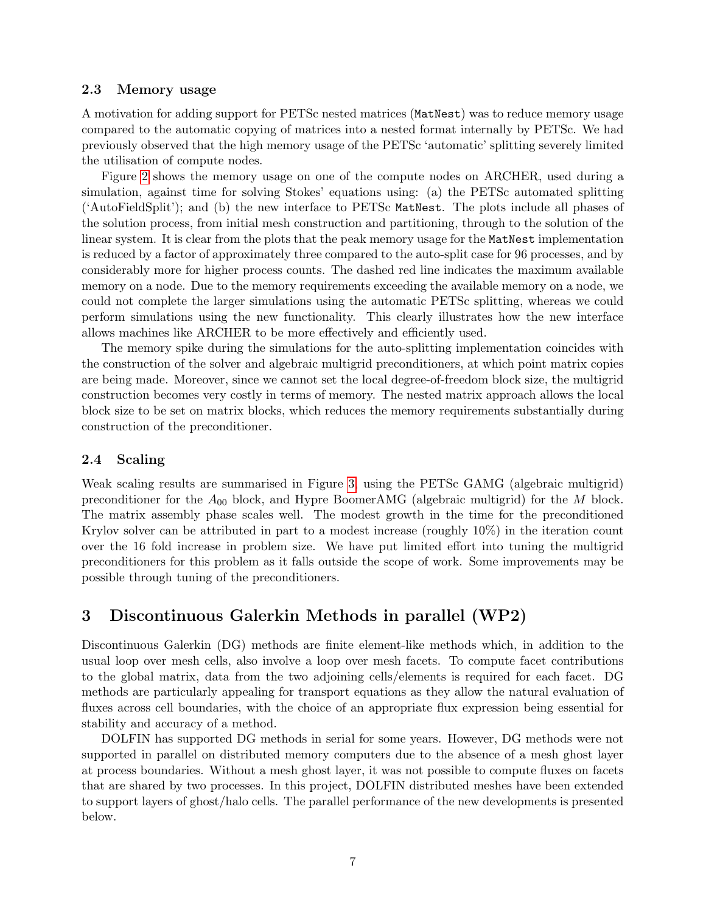#### 2.3 Memory usage

A motivation for adding support for PETSc nested matrices (MatNest) was to reduce memory usage compared to the automatic copying of matrices into a nested format internally by PETSc. We had previously observed that the high memory usage of the PETSc 'automatic' splitting severely limited the utilisation of compute nodes.

Figure 2 shows the memory usage on one of the compute nodes on ARCHER, used during a simulation, against time for solving Stokes' equations using: (a) the PETSc automated splitting ('AutoFieldSplit'); and (b) the new interface to PETSc MatNest. The plots include all phases of the solution process, from initial mesh construction and partitioning, through to the solution of the linear system. It is clear from the plots that the peak memory usage for the MatNest implementation is reduced by a factor of approximately three compared to the auto-split case for 96 processes, and by considerably more for higher process counts. The dashed red line indicates the maximum available memory on a node. Due to the memory requirements exceeding the available memory on a node, we could not complete the larger simulations using the automatic PETSc splitting, whereas we could perform simulations using the new functionality. This clearly illustrates how the new interface allows machines like ARCHER to be more effectively and efficiently used.

The memory spike during the simulations for the auto-splitting implementation coincides with the construction of the solver and algebraic multigrid preconditioners, at which point matrix copies are being made. Moreover, since we cannot set the local degree-of-freedom block size, the multigrid construction becomes very costly in terms of memory. The nested matrix approach allows the local block size to be set on matrix blocks, which reduces the memory requirements substantially during construction of the preconditioner.

#### 2.4 Scaling

Weak scaling results are summarised in Figure 3, using the PETSc GAMG (algebraic multigrid) preconditioner for the  $A_{00}$  block, and Hypre BoomerAMG (algebraic multigrid) for the M block. The matrix assembly phase scales well. The modest growth in the time for the preconditioned Krylov solver can be attributed in part to a modest increase (roughly 10%) in the iteration count over the 16 fold increase in problem size. We have put limited effort into tuning the multigrid preconditioners for this problem as it falls outside the scope of work. Some improvements may be possible through tuning of the preconditioners.

# 3 Discontinuous Galerkin Methods in parallel (WP2)

Discontinuous Galerkin (DG) methods are finite element-like methods which, in addition to the usual loop over mesh cells, also involve a loop over mesh facets. To compute facet contributions to the global matrix, data from the two adjoining cells/elements is required for each facet. DG methods are particularly appealing for transport equations as they allow the natural evaluation of fluxes across cell boundaries, with the choice of an appropriate flux expression being essential for stability and accuracy of a method.

DOLFIN has supported DG methods in serial for some years. However, DG methods were not supported in parallel on distributed memory computers due to the absence of a mesh ghost layer at process boundaries. Without a mesh ghost layer, it was not possible to compute fluxes on facets that are shared by two processes. In this project, DOLFIN distributed meshes have been extended to support layers of ghost/halo cells. The parallel performance of the new developments is presented below.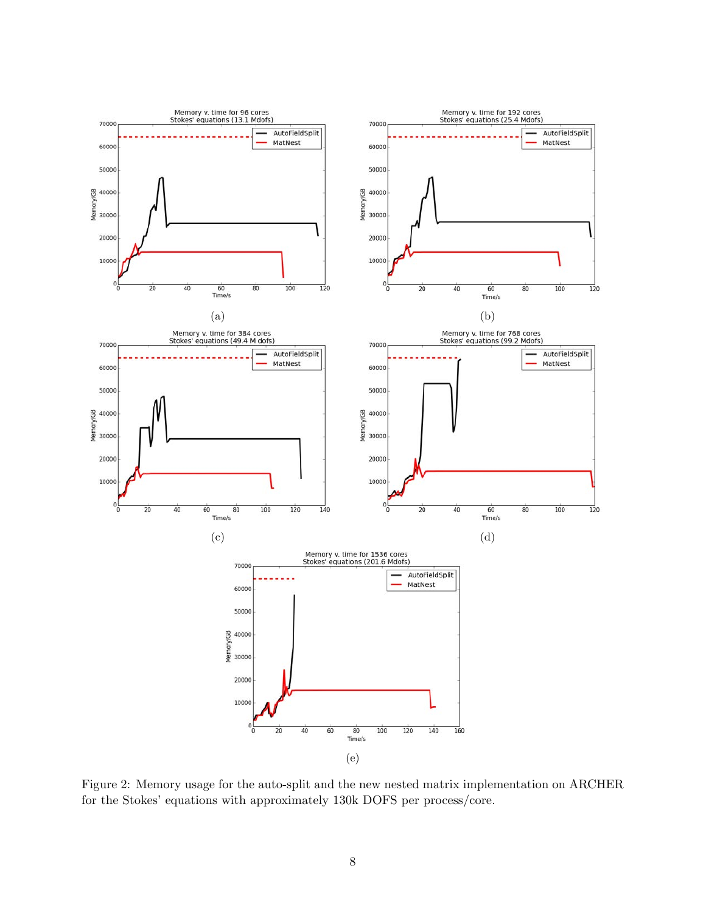

Figure 2: Memory usage for the auto-split and the new nested matrix implementation on ARCHER for the Stokes' equations with approximately 130k DOFS per process/core.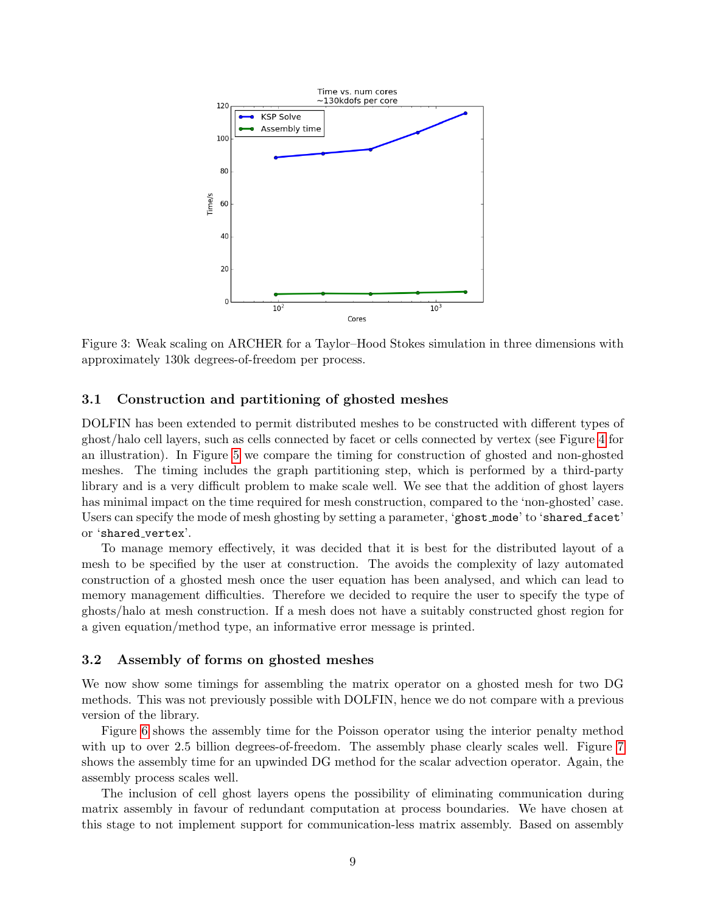

Figure 3: Weak scaling on ARCHER for a Taylor–Hood Stokes simulation in three dimensions with approximately 130k degrees-of-freedom per process.

#### 3.1 Construction and partitioning of ghosted meshes

DOLFIN has been extended to permit distributed meshes to be constructed with different types of ghost/halo cell layers, such as cells connected by facet or cells connected by vertex (see Figure 4 for an illustration). In Figure 5 we compare the timing for construction of ghosted and non-ghosted meshes. The timing includes the graph partitioning step, which is performed by a third-party library and is a very difficult problem to make scale well. We see that the addition of ghost layers has minimal impact on the time required for mesh construction, compared to the 'non-ghosted' case. Users can specify the mode of mesh ghosting by setting a parameter, 'ghost mode' to 'shared facet' or 'shared vertex'.

To manage memory effectively, it was decided that it is best for the distributed layout of a mesh to be specified by the user at construction. The avoids the complexity of lazy automated construction of a ghosted mesh once the user equation has been analysed, and which can lead to memory management difficulties. Therefore we decided to require the user to specify the type of ghosts/halo at mesh construction. If a mesh does not have a suitably constructed ghost region for a given equation/method type, an informative error message is printed.

#### 3.2 Assembly of forms on ghosted meshes

We now show some timings for assembling the matrix operator on a ghosted mesh for two DG methods. This was not previously possible with DOLFIN, hence we do not compare with a previous version of the library.

Figure 6 shows the assembly time for the Poisson operator using the interior penalty method with up to over 2.5 billion degrees-of-freedom. The assembly phase clearly scales well. Figure 7 shows the assembly time for an upwinded DG method for the scalar advection operator. Again, the assembly process scales well.

The inclusion of cell ghost layers opens the possibility of eliminating communication during matrix assembly in favour of redundant computation at process boundaries. We have chosen at this stage to not implement support for communication-less matrix assembly. Based on assembly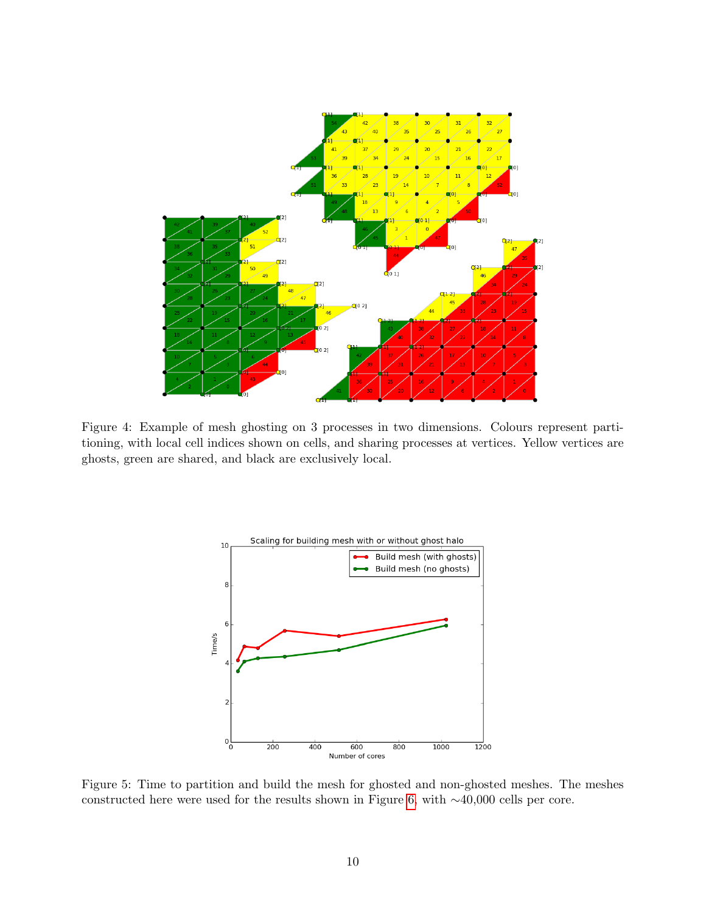

Figure 4: Example of mesh ghosting on 3 processes in two dimensions. Colours represent partitioning, with local cell indices shown on cells, and sharing processes at vertices. Yellow vertices are ghosts, green are shared, and black are exclusively local.



Figure 5: Time to partition and build the mesh for ghosted and non-ghosted meshes. The meshes constructed here were used for the results shown in Figure 6, with ∼40,000 cells per core.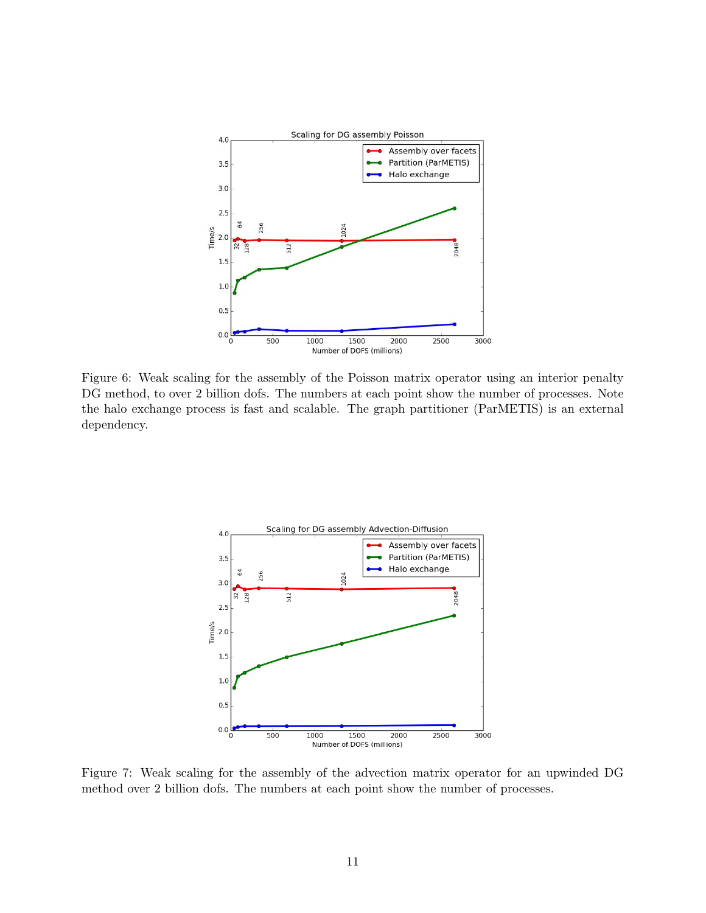

Figure 6: Weak scaling for the assembly of the Poisson matrix operator using an interior penalty DG method, to over 2 billion dofs. The numbers at each point show the number of processes. Note the halo exchange process is fast and scalable. The graph partitioner (ParMETIS) is an external dependency.



Figure 7: Weak scaling for the assembly of the advection matrix operator for an upwinded DG method over 2 billion dofs. The numbers at each point show the number of processes.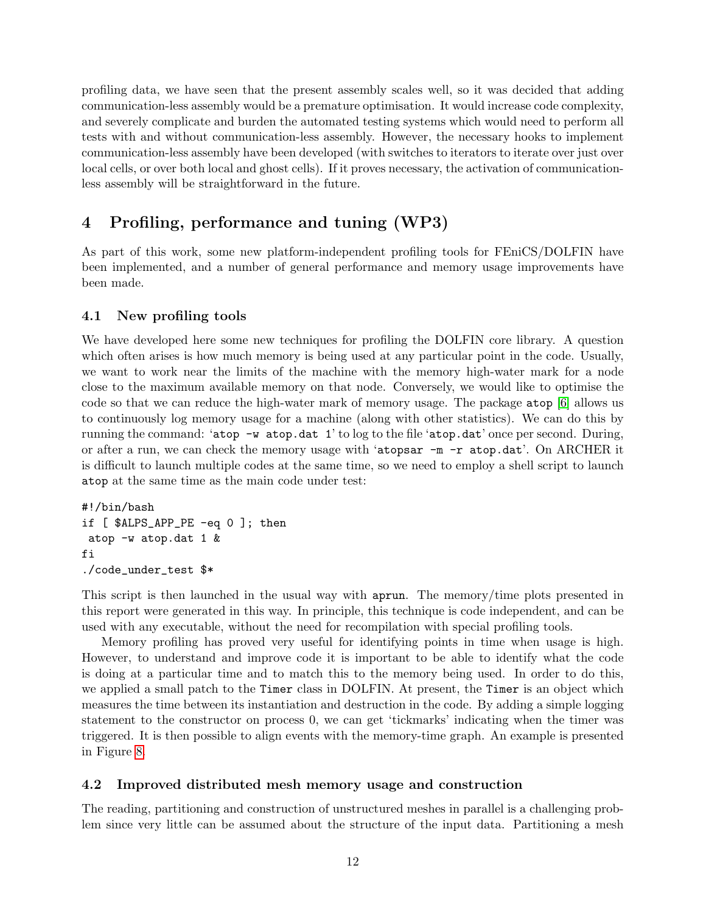profiling data, we have seen that the present assembly scales well, so it was decided that adding communication-less assembly would be a premature optimisation. It would increase code complexity, and severely complicate and burden the automated testing systems which would need to perform all tests with and without communication-less assembly. However, the necessary hooks to implement communication-less assembly have been developed (with switches to iterators to iterate over just over local cells, or over both local and ghost cells). If it proves necessary, the activation of communicationless assembly will be straightforward in the future.

# 4 Profiling, performance and tuning (WP3)

As part of this work, some new platform-independent profiling tools for FEniCS/DOLFIN have been implemented, and a number of general performance and memory usage improvements have been made.

### 4.1 New profiling tools

We have developed here some new techniques for profiling the DOLFIN core library. A question which often arises is how much memory is being used at any particular point in the code. Usually, we want to work near the limits of the machine with the memory high-water mark for a node close to the maximum available memory on that node. Conversely, we would like to optimise the code so that we can reduce the high-water mark of memory usage. The package atop [6] allows us to continuously log memory usage for a machine (along with other statistics). We can do this by running the command: 'atop  $-w$  atop.dat 1' to log to the file 'atop.dat' once per second. During, or after a run, we can check the memory usage with 'atopsar -m -r atop.dat'. On ARCHER it is difficult to launch multiple codes at the same time, so we need to employ a shell script to launch atop at the same time as the main code under test:

```
#!/bin/bash
if [ $ALPS_APP_PE -eq 0 ]; then
atop -w atop.dat 1 &
fi
./code_under_test $*
```
This script is then launched in the usual way with aprun. The memory/time plots presented in this report were generated in this way. In principle, this technique is code independent, and can be used with any executable, without the need for recompilation with special profiling tools.

Memory profiling has proved very useful for identifying points in time when usage is high. However, to understand and improve code it is important to be able to identify what the code is doing at a particular time and to match this to the memory being used. In order to do this, we applied a small patch to the Timer class in DOLFIN. At present, the Timer is an object which measures the time between its instantiation and destruction in the code. By adding a simple logging statement to the constructor on process 0, we can get 'tickmarks' indicating when the timer was triggered. It is then possible to align events with the memory-time graph. An example is presented in Figure 8.

### 4.2 Improved distributed mesh memory usage and construction

The reading, partitioning and construction of unstructured meshes in parallel is a challenging problem since very little can be assumed about the structure of the input data. Partitioning a mesh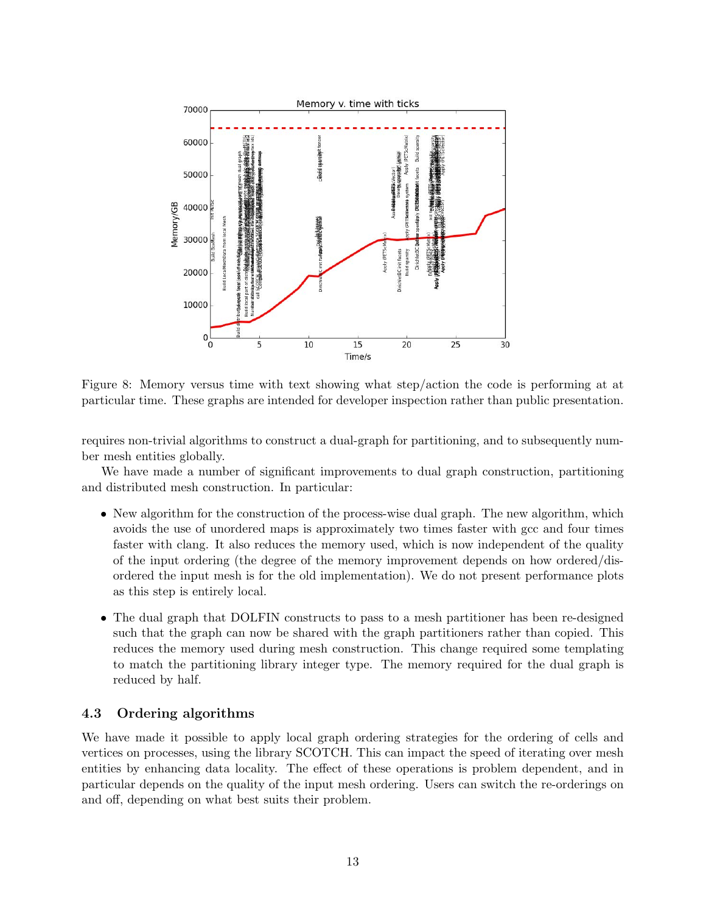

Figure 8: Memory versus time with text showing what step/action the code is performing at at particular time. These graphs are intended for developer inspection rather than public presentation.

requires non-trivial algorithms to construct a dual-graph for partitioning, and to subsequently number mesh entities globally.

We have made a number of significant improvements to dual graph construction, partitioning and distributed mesh construction. In particular:

- New algorithm for the construction of the process-wise dual graph. The new algorithm, which avoids the use of unordered maps is approximately two times faster with gcc and four times faster with clang. It also reduces the memory used, which is now independent of the quality of the input ordering (the degree of the memory improvement depends on how ordered/disordered the input mesh is for the old implementation). We do not present performance plots as this step is entirely local.
- The dual graph that DOLFIN constructs to pass to a mesh partitioner has been re-designed such that the graph can now be shared with the graph partitioners rather than copied. This reduces the memory used during mesh construction. This change required some templating to match the partitioning library integer type. The memory required for the dual graph is reduced by half.

#### 4.3 Ordering algorithms

We have made it possible to apply local graph ordering strategies for the ordering of cells and vertices on processes, using the library SCOTCH. This can impact the speed of iterating over mesh entities by enhancing data locality. The effect of these operations is problem dependent, and in particular depends on the quality of the input mesh ordering. Users can switch the re-orderings on and off, depending on what best suits their problem.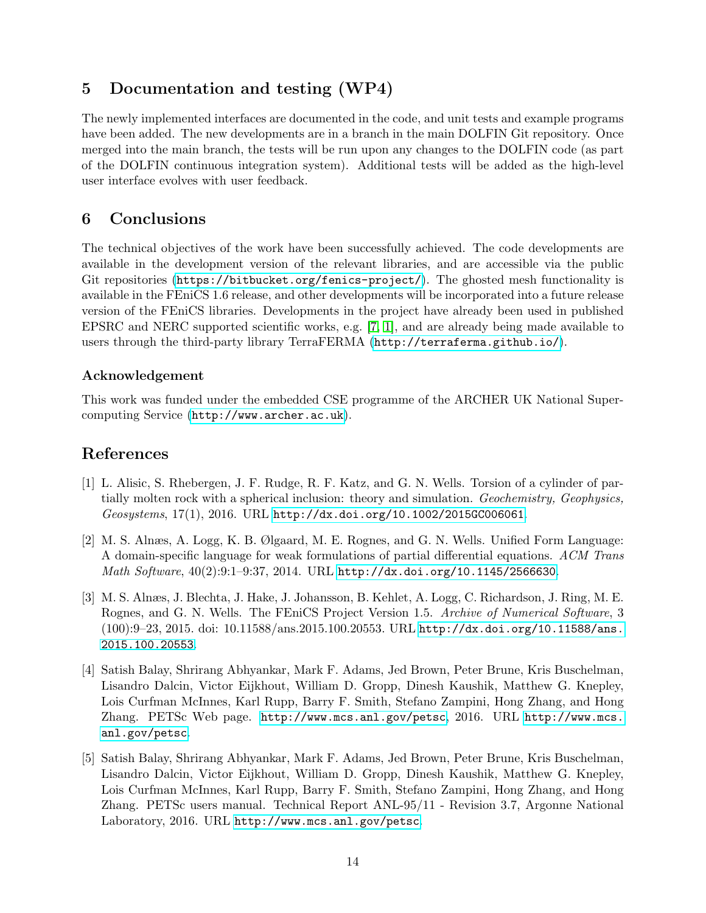# 5 Documentation and testing (WP4)

The newly implemented interfaces are documented in the code, and unit tests and example programs have been added. The new developments are in a branch in the main DOLFIN Git repository. Once merged into the main branch, the tests will be run upon any changes to the DOLFIN code (as part of the DOLFIN continuous integration system). Additional tests will be added as the high-level user interface evolves with user feedback.

# 6 Conclusions

The technical objectives of the work have been successfully achieved. The code developments are available in the development version of the relevant libraries, and are accessible via the public Git repositories (<https://bitbucket.org/fenics-project/>). The ghosted mesh functionality is available in the FEniCS 1.6 release, and other developments will be incorporated into a future release version of the FEniCS libraries. Developments in the project have already been used in published EPSRC and NERC supported scientific works, e.g. [7, 1], and are already being made available to users through the third-party library TerraFERMA (<http://terraferma.github.io/>).

### Acknowledgement

This work was funded under the embedded CSE programme of the ARCHER UK National Supercomputing Service (<http://www.archer.ac.uk>).

# References

- [1] L. Alisic, S. Rhebergen, J. F. Rudge, R. F. Katz, and G. N. Wells. Torsion of a cylinder of partially molten rock with a spherical inclusion: theory and simulation. Geochemistry, Geophysics, Geosystems, 17(1), 2016. URL <http://dx.doi.org/10.1002/2015GC006061>.
- [2] M. S. Alnæs, A. Logg, K. B. Ølgaard, M. E. Rognes, and G. N. Wells. Unified Form Language: A domain-specific language for weak formulations of partial differential equations. ACM Trans Math Software,  $40(2):9:1-9:37$ , 2014. URL <http://dx.doi.org/10.1145/2566630>.
- [3] M. S. Alnæs, J. Blechta, J. Hake, J. Johansson, B. Kehlet, A. Logg, C. Richardson, J. Ring, M. E. Rognes, and G. N. Wells. The FEniCS Project Version 1.5. Archive of Numerical Software, 3 (100):9–23, 2015. doi: 10.11588/ans.2015.100.20553. URL [http://dx.doi.org/10.11588/ans.](http://dx.doi.org/10.11588/ans.2015.100.20553) [2015.100.20553](http://dx.doi.org/10.11588/ans.2015.100.20553).
- [4] Satish Balay, Shrirang Abhyankar, Mark F. Adams, Jed Brown, Peter Brune, Kris Buschelman, Lisandro Dalcin, Victor Eijkhout, William D. Gropp, Dinesh Kaushik, Matthew G. Knepley, Lois Curfman McInnes, Karl Rupp, Barry F. Smith, Stefano Zampini, Hong Zhang, and Hong Zhang. PETSc Web page. <http://www.mcs.anl.gov/petsc>, 2016. URL [http://www.mcs.](http://www.mcs.anl.gov/petsc) [anl.gov/petsc](http://www.mcs.anl.gov/petsc).
- [5] Satish Balay, Shrirang Abhyankar, Mark F. Adams, Jed Brown, Peter Brune, Kris Buschelman, Lisandro Dalcin, Victor Eijkhout, William D. Gropp, Dinesh Kaushik, Matthew G. Knepley, Lois Curfman McInnes, Karl Rupp, Barry F. Smith, Stefano Zampini, Hong Zhang, and Hong Zhang. PETSc users manual. Technical Report ANL-95/11 - Revision 3.7, Argonne National Laboratory, 2016. URL <http://www.mcs.anl.gov/petsc>.